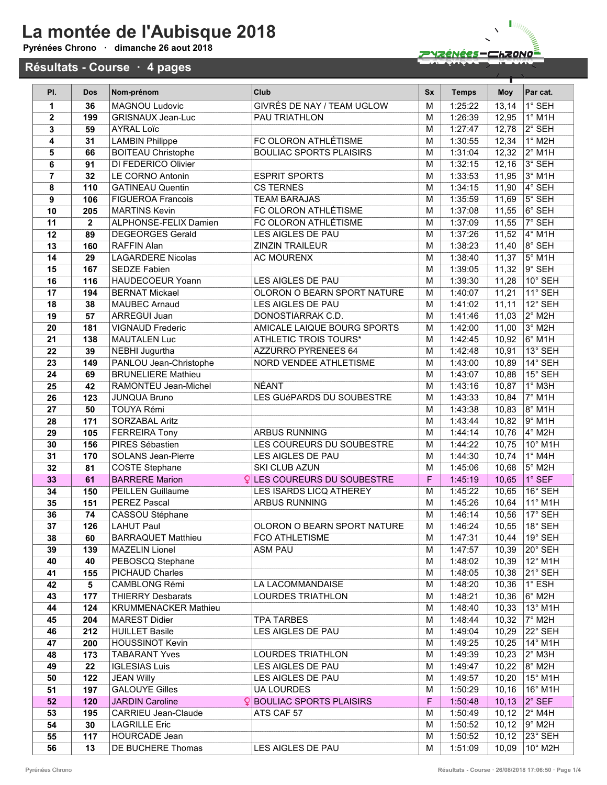### La montée de l'Aubisque 2018 Pyrénées Chrono · dimanche 26 aout 2018

#### Résultats - Course · 4 pages



Π

| PI.            | <b>Dos</b>   | Nom-prénom                  | Club                              | <b>Sx</b>      | <b>Temps</b> | <b>Moy</b> | Par cat.                  |
|----------------|--------------|-----------------------------|-----------------------------------|----------------|--------------|------------|---------------------------|
| 1              | 36           | <b>MAGNOU Ludovic</b>       | GIVRÉS DE NAY / TEAM UGLOW        | M              | 1:25:22      | 13,14      | 1° SEH                    |
| $\overline{2}$ | 199          | <b>GRISNAUX Jean-Luc</b>    | <b>PAU TRIATHLON</b>              | M              | 1:26:39      | 12,95      | $1°$ M1H                  |
| 3              | 59           | <b>AYRAL Loïc</b>           |                                   | M              | 1.27:47      | 12,78      | 2° SEH                    |
| 4              | 31           | <b>LAMBIN Philippe</b>      | FC OLORON ATHLÉTISME              | M              | 1:30:55      | 12,34      | $1^\circ$ M2H             |
| 5              | 66           | <b>BOITEAU Christophe</b>   | <b>BOULIAC SPORTS PLAISIRS</b>    | M              | 1:31:04      | 12,32      | $2^{\circ}$ M1H           |
| 6              | 91           | DI FEDERICO Olivier         |                                   | M              | 1:32:15      | 12,16      | $3°$ SEH                  |
| $\overline{7}$ | 32           | LE CORNO Antonin            | <b>ESPRIT SPORTS</b>              | M              | 1:33:53      | 11,95      | $3°$ M1H                  |
| 8              | 110          | <b>GATINEAU Quentin</b>     | <b>CS TERNES</b>                  | M              | 1:34:15      | 11,90      | $4°$ SEH                  |
| 9              | 106          | <b>FIGUEROA Francois</b>    | <b>TEAM BARAJAS</b>               | M              | 1:35:59      | 11,69      | $5^\circ$ SEH             |
| 10             | 205          | <b>MARTINS Kevin</b>        | FC OLORON ATHLÉTISME              | M              | 1:37:08      | 11,55      | $6°$ SEH                  |
| 11             | $\mathbf{2}$ | ALPHONSE-FELIX Damien       | FC OLORON ATHLÉTISME              | M              | 1:37:09      | 11,55      | $7°$ SEH                  |
| 12             | 89           | <b>DEGEORGES Gerald</b>     | LES AIGLES DE PAU                 | M              | 1:37:26      | 11,52      | $4°$ M1H                  |
| 13             | 160          | <b>RAFFIN Alan</b>          | <b>ZINZIN TRAILEUR</b>            | M              | 1:38:23      | 11,40      | $8°$ SEH                  |
| 14             | 29           | <b>LAGARDERE Nicolas</b>    | <b>AC MOURENX</b>                 | M              | 1:38:40      | 11,37      | $5^\circ$ M1H             |
| 15             | 167          | <b>SEDZE Fabien</b>         |                                   | M              | 1:39:05      | 11,32      | $9°$ SEH                  |
| 16             | 116          | <b>HAUDECOEUR Yoann</b>     | LES AIGLES DE PAU                 | M              | 1:39:30      | 11,28      | $10^\circ$ SEH            |
| 17             | 194          | <b>BERNAT Mickael</b>       | OLORON O BEARN SPORT NATURE       | M              | 1:40:07      | 11,21      | $11^\circ$ SEH            |
| 18             | 38           | <b>MAUBEC Arnaud</b>        | LES AIGLES DE PAU                 | M              | 1:41:02      | 11,11      | 12° SEH                   |
| 19             | 57           | <b>ARREGUI Juan</b>         | DONOSTIARRAK C.D.                 | M              | 1:41:46      | 11,03      | $2°$ M <sub>2</sub> H     |
| 20             | 181          | <b>VIGNAUD Frederic</b>     | AMICALE LAIQUE BOURG SPORTS       | M              | 1:42:00      | 11,00      | $3°$ M <sub>2</sub> H     |
| 21             | 138          | <b>MAUTALEN Luc</b>         | ATHLETIC TROIS TOURS*             | M              | 1:42:45      | 10,92      | $6°$ M1H                  |
| 22             | 39           | NEBHI Jugurtha              | AZZURRO PYRENEES 64               | M              | 1:42:48      | 10,91      | 13° SEH                   |
| 23             | 149          | PANLOU Jean-Christophe      | NORD VENDEE ATHLETISME            | M              | 1:43:00      | 10,89      | $14^\circ$ SEH            |
| 24             | 69           | <b>BRUNELIERE Mathieu</b>   |                                   | M              | 1:43:07      | 10,88      | $15^\circ$ SEH            |
| 25             | 42           | RAMONTEU Jean-Michel        | <b>NÉANT</b>                      | M              | 1:43:16      | 10,87      | $1^\circ$ M3H             |
| 26             | 123          | <b>JUNQUA Bruno</b>         | LES GUéPARDS DU SOUBESTRE         | M              | 1:43:33      | 10,84      | $7°$ M1H                  |
| 27             | 50           | <b>TOUYA Rémi</b>           |                                   | M              | 1:43:38      | 10,83      | $8°$ M1H                  |
| 28             | 171          | <b>SORZABAL Aritz</b>       |                                   | M              | 1:43:44      | 10,82      | $9°$ M1H                  |
| 29             | 105          | <b>FERREIRA Tony</b>        | <b>ARBUS RUNNING</b>              | M              | 1:44:14      | 10,76      | 4° M2H                    |
| 30             | 156          | PIRES Sébastien             | LES COUREURS DU SOUBESTRE         | M              | 1:44:22      | 10,75      | 10° M1H                   |
| 31             | 170          | <b>SOLANS Jean-Pierre</b>   | LES AIGLES DE PAU                 | M              | 1:44:30      | 10,74      | $1^\circ$ M4H             |
| 32             | 81           | <b>COSTE Stephane</b>       | SKI CLUB AZUN                     | M              | 1:45:06      | 10,68      | 5° M2H                    |
| 33             | 61           | <b>BARRERE Marion</b>       | <b>QLES COUREURS DU SOUBESTRE</b> | F              | 1:45:19      | 10,65      | 1° SEF                    |
| 34             | 150          | <b>PEILLEN Guillaume</b>    | LES ISARDS LICQ ATHEREY           | M              | 1:45:22      | 10,65      | 16° SEH                   |
| 35             | 151          | <b>PEREZ Pascal</b>         | <b>ARBUS RUNNING</b>              | M              | 1:45:26      | 10,64      | $11°$ M1H                 |
| 36             | 74           | CASSOU Stéphane             |                                   | M              | 1:46:14      | 10,56      | $17°$ SEH                 |
| 37             | 126          | LAHUT Paul                  | OLORON O BEARN SPORT NATURE       | $\overline{M}$ | 1:46:24      |            | 10,55 18° SEH             |
| 38             | 60           | <b>BARRAQUET Matthieu</b>   | <b>FCO ATHLETISME</b>             | м              | 1:47:31      | 10,44      | 19° SEH                   |
| 39             | 139          | <b>MAZELIN Lionel</b>       | <b>ASM PAU</b>                    | м              | 1:47:57      | 10,39      | 20° SEH                   |
| 40             | 40           | PEBOSCQ Stephane            |                                   | M              | 1:48:02      | 10,39      | $12^{\circ}$ M1H          |
| 41             | 155          | PICHAUD Charles             |                                   | м              | 1:48:05      | 10,38      | 21° SEH                   |
| 42             | 5            | CAMBLONG Rémi               | LA LACOMMANDAISE                  | М              | 1:48:20      | 10,36      | $1^\circ$ ESH             |
| 43             | 177          | <b>THIERRY Desbarats</b>    | <b>LOURDES TRIATHLON</b>          | М              | 1:48:21      | 10,36      | $6^\circ$ M2H             |
| 44             | 124          | <b>KRUMMENACKER Mathieu</b> |                                   | М              | 1:48:40      | 10,33      | 13° M1H                   |
| 45             | 204          | <b>MAREST Didier</b>        | <b>TPA TARBES</b>                 | м              | 1:48:44      | 10,32      | $7^\circ$ M2H             |
| 46             | 212          | <b>HUILLET Basile</b>       | LES AIGLES DE PAU                 | м              | 1:49:04      | 10,29      | 22° SEH                   |
| 47             | 200          | <b>HOUSSINOT Kevin</b>      |                                   | М              | 1:49:25      | 10,25      | 14° M1H                   |
| 48             | 173          | <b>TABARANT Yves</b>        | <b>LOURDES TRIATHLON</b>          | М              | 1:49:39      | 10,23      | $2^\circ$ M3H             |
| 49             | 22           | <b>IGLESIAS Luis</b>        | LES AIGLES DE PAU                 | М              | 1:49:47      | 10,22      | $8^\circ$ M2H             |
| 50             | 122          | <b>JEAN Willy</b>           | LES AIGLES DE PAU                 | М              | 1:49:57      | 10,20      | 15° M1H                   |
| 51             | 197          | <b>GALOUYE Gilles</b>       | <b>UA LOURDES</b>                 | М              | 1:50:29      | 10, 16     | 16° M1H                   |
| 52             | 120          | <b>JARDIN Caroline</b>      | <b>QBOULIAC SPORTS PLAISIRS</b>   | F              | 1:50:48      | 10, 13     | $ 2^{\circ}$ SEF          |
| 53             | 195          | <b>CARRIEU Jean-Claude</b>  | ATS CAF 57                        | M              | 1:50:49      | 10, 12     | $2^\circ$ M4H             |
| 54             | 30           | <b>LAGRILLE Eric</b>        |                                   | М              | 1:50:52      | 10, 12     | 9° M2H                    |
| 55             | 117          | <b>HOURCADE Jean</b>        |                                   | М              | 1:50:52      | 10, 12     | $ 23^{\circ}$ SEH         |
| 56             | 13           | DE BUCHERE Thomas           | LES AIGLES DE PAU                 | M              | 1:51:09      |            | 10,09   10 $^{\circ}$ M2H |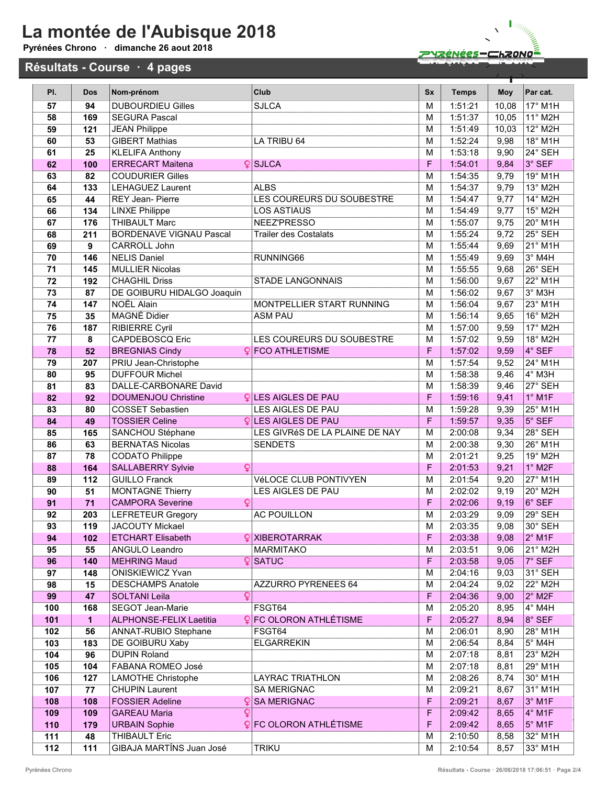# La montée de l'Aubisque 2018

#### Pyrénée

**Résultation** 



 $\overline{\mathbf{X}}$ 

|                           | nées Chrono   ·   dimanche 26 aout 2018 |                                        |                                |           | <u> PYZÉNÉES-CHZONOÉ</u> |       |                             |  |  |  |
|---------------------------|-----------------------------------------|----------------------------------------|--------------------------------|-----------|--------------------------|-------|-----------------------------|--|--|--|
| ultats - Course · 4 pages |                                         |                                        |                                |           |                          |       |                             |  |  |  |
| PI.                       | <b>Dos</b>                              | Nom-prénom                             | Club                           | <b>Sx</b> | <b>Temps</b>             | Moy   | Par cat.                    |  |  |  |
| 57                        | 94                                      | <b>DUBOURDIEU Gilles</b>               | <b>SJLCA</b>                   | M         | 1:51:21                  | 10,08 | 17° M1H                     |  |  |  |
| 58                        | 169                                     | <b>SEGURA Pascal</b>                   |                                | M         | 1:51:37                  | 10,05 | 11° M2H                     |  |  |  |
| 59                        | 121                                     | <b>JEAN Philippe</b>                   |                                | M         | 1:51:49                  | 10,03 | 12° M2H                     |  |  |  |
| 60                        | 53                                      | <b>GIBERT Mathias</b>                  | LA TRIBU 64                    | M         | 1:52:24                  | 9,98  | 18° M1H                     |  |  |  |
| 61                        | 25                                      | <b>KLELIFA Anthony</b>                 |                                | M         | 1:53:18                  | 9,90  | 24° SEH                     |  |  |  |
| 62                        | 100                                     | <b>ERRECART Maitena</b>                | $Q$ SJLCA                      | F         | 1:54:01                  | 9,84  | 3° SEF                      |  |  |  |
| 63                        | 82                                      | <b>COUDURIER Gilles</b>                |                                | M         | 1:54:35                  | 9,79  | 19° M1H                     |  |  |  |
| 64                        | 133                                     | <b>LEHAGUEZ Laurent</b>                | <b>ALBS</b>                    | M         | 1:54:37                  | 9,79  | $13°$ M <sub>2</sub> H      |  |  |  |
| 65                        | 44                                      | <b>REY Jean-Pierre</b>                 | LES COUREURS DU SOUBESTRE      | M         | 1:54:47                  | 9,77  | $14^{\circ}$ M2H            |  |  |  |
| 66                        | 134                                     | <b>LINXE Philippe</b>                  | <b>LOS ASTIAUS</b>             | M         | 1:54:49                  | 9,77  | $15^\circ$ M2H              |  |  |  |
| 67                        | 176                                     | <b>THIBAULT Marc</b>                   | NEEZ'PRESSO                    | M         | 1:55:07                  | 9,75  | $20^\circ$ M1H              |  |  |  |
| 68                        | 211                                     | <b>BORDENAVE VIGNAU Pascal</b>         | <b>Trailer des Costalats</b>   | M         | 1:55:24                  | 9,72  | $25^\circ$ SEH              |  |  |  |
| 69                        | 9                                       | CARROLL John                           |                                | M         | 1:55:44                  | 9,69  | $21°$ M1H                   |  |  |  |
| 70                        | 146                                     | <b>NELIS Daniel</b>                    | RUNNING66                      | M         | 1:55:49                  | 9,69  | $3°$ M4H                    |  |  |  |
| 71                        | 145                                     | <b>MULLIER Nicolas</b>                 |                                | M         | 1:55:55                  | 9,68  | 26° SEH                     |  |  |  |
| 72                        | 192                                     | <b>CHAGHIL Driss</b>                   | <b>STADE LANGONNAIS</b>        | M         | 1:56:00                  | 9,67  | $22^{\circ}$ M1H            |  |  |  |
| 73                        | 87                                      | DE GOIBURU HIDALGO Joaquin             |                                | M         | 1:56:02                  | 9,67  | $3^\circ$ M3H               |  |  |  |
| 74                        | 147                                     | NOËL Alain                             | MONTPELLIER START RUNNING      | M         | 1:56:04                  | 9,67  | 23° M1H                     |  |  |  |
| 75                        | 35                                      | <b>MAGNÉ Didier</b>                    | <b>ASM PAU</b>                 | M         | 1:56:14                  | 9,65  | $16^\circ$ M <sub>2</sub> H |  |  |  |
| 76                        | 187                                     | <b>RIBIERRE Cyril</b>                  |                                | M         | 1:57:00                  | 9,59  | $17°$ M <sub>2</sub> H      |  |  |  |
| 77                        | 8                                       | <b>CAPDEBOSCQ Eric</b>                 | LES COUREURS DU SOUBESTRE      | M         | 1:57:02                  | 9,59  | 18° M2H                     |  |  |  |
| 78                        | 52                                      | <b>BREGNIAS Cindy</b>                  | <b>Q</b> FCO ATHLETISME        | F         | 1.57:02                  | 9,59  | 4° SEF                      |  |  |  |
| 79                        | 207                                     | <b>PRIU Jean-Christophe</b>            |                                | M         | 1:57:54                  | 9,52  | 24° M1H                     |  |  |  |
| 80                        | 95                                      | <b>DUFFOUR Michel</b>                  |                                | M         | 1:58:38                  | 9,46  | 4° M3H                      |  |  |  |
| 81                        | 83                                      | DALLE-CARBONARE David                  |                                | M         | 1:58:39                  | 9,46  | 27° SEH                     |  |  |  |
| 82                        | 92                                      | <b>DOUMENJOU Christine</b>             | <b>QLES AIGLES DE PAU</b>      | F         | 1:59:16                  | 9,41  | $1^\circ$ M1F               |  |  |  |
| 83                        | 80                                      | <b>COSSET Sebastien</b>                | LES AIGLES DE PAU              | M         | 1:59:28                  | 9,39  | 25° M1H                     |  |  |  |
| 84                        | 49                                      | <b>TOSSIER Celine</b>                  | <b>QLES AIGLES DE PAU</b>      | F         | 1.59:57                  | 9,35  | $5^\circ$ SEF               |  |  |  |
| 85                        | 165                                     | SANCHOU Stéphane                       | LES GIVRéS DE LA PLAINE DE NAY | M         | 2:00:08                  | 9,34  | 28° SEH                     |  |  |  |
| 86                        | 63                                      | <b>BERNATAS Nicolas</b>                | <b>SENDETS</b>                 | M         | 2:00:38                  | 9,30  | 26° M1H                     |  |  |  |
| 87                        | 78                                      | <b>CODATO Philippe</b>                 |                                | M         | 2:01:21                  | 9,25  | 19° M2H                     |  |  |  |
| 88                        | 164                                     | <b>SALLABERRY Sylvie</b><br>Q          |                                | F         | 2:01:53                  | 9,21  | $1^\circ$ M2F               |  |  |  |
| 89                        | 112                                     | <b>GUILLO Franck</b>                   | VéLOCE CLUB PONTIVYEN          | M         | 2:01:54                  | 9,20  | 27° M1H                     |  |  |  |
| 90                        | 51                                      | <b>MONTAGNE Thierry</b>                | LES AIGLES DE PAU              | M         | 2:02:02                  | 9,19  | 20° M2H                     |  |  |  |
| 91                        | 71                                      | Q<br><b>CAMPORA Severine</b>           |                                | F         | 2:02:06                  | 9,19  | $6^\circ$ SEF               |  |  |  |
| 92                        | 203                                     | <b>LEFRETEUR Gregory</b>               | <b>AC POUILLON</b>             | M         | 2:03:29                  | 9,09  | 29° SEH                     |  |  |  |
| 93                        | 119                                     | <b>JACOUTY Mickael</b>                 |                                | М         | 2:03:35                  | 9,08  | 30° SEH                     |  |  |  |
| 94                        | 102                                     | <b>ETCHART Elisabeth</b>               | <b>Q</b> XIBEROTARRAK          | F         | 2:03:38                  | 9,08  | $2^{\circ}$ M1F             |  |  |  |
| 95                        | 55                                      | ANGULO Leandro                         | <b>MARMITAKO</b>               | M         | 2:03:51                  | 9,06  | 21° M2H                     |  |  |  |
| 96                        | 140                                     | <b>MEHRING Maud</b>                    | $\mathsf{Q}$ SATUC             | F         | 2:03:58                  | 9,05  | 7° SEF                      |  |  |  |
| 97                        | 148                                     | <b>ONISKIEWICZ Yvan</b>                |                                | M         | 2:04:16                  | 9,03  | 31° SEH                     |  |  |  |
| 98                        | 15                                      | <b>DESCHAMPS Anatole</b>               | AZZURRO PYRENEES 64            | M         | 2:04:24                  | 9,02  | 22° M2H                     |  |  |  |
| 99                        | 47                                      | $\overline{Q}$<br><b>SOLTANI Leila</b> |                                | F         | 2:04:36                  | 9,00  | $2^\circ$ M2F               |  |  |  |
| 100                       | 168                                     | <b>SEGOT Jean-Marie</b>                | FSGT64                         | М         | 2:05:20                  | 8,95  | $4^\circ$ M4H               |  |  |  |

101 1 ALPHONSE-FELIX Laetitia C FC OLORON ATHLÉTISME F 2:05:27 8,94 8° SEF 102 56 ANNAT-RUBIO Stephane FSGT64 M 2:06:01 8,90 28° M1H 103 183 DE GOIBURU Xaby ELGARREKIN M 2:06:54 8,84 5° M4H 104 96 DUPIN Roland M 2:07:18 8,81 23° M2H 105 104 FABANA ROMEO José M 2:07:18 8,81 29° M1H 106 127 LAMOTHE Christophe LAYRAC TRIATHLON M 2:08:26 8,74 30° M1H<br>107 77 CHUPIN Laurent SA MERIGNAC M 2:09:21 8,67 31° M1H 107 77 CHUPIN Laurent SA MERIGNAC M 2:09:21 8,67 31° M1H 108 | 108 | FOSSIER Adeline Sand Communication SA MERIGNAC | SA MERIGNAC | SA MERIGNAC | S<sup>o</sup> M1F 109 | 109 | GAREAU Maria  $\cfrac{}{4^\circ\text{M1F}}$   $\cfrac{}{109}$  | F  $\cfrac{}{2:09:42}$  | 8,65  $\cfrac{}{4^\circ\text{M1F}}$ 110 179 URBAIN Sophie C FC OLORON ATHLÉTISME F 2:09:42 8,65 5° M1F 111 48 THIBAULT Eric **M** 2:10:50 8,58 32° M1H 112 111 GIBAJA MARTÍNS Juan José TRIKU M 2:10:54 8,57 33° M1H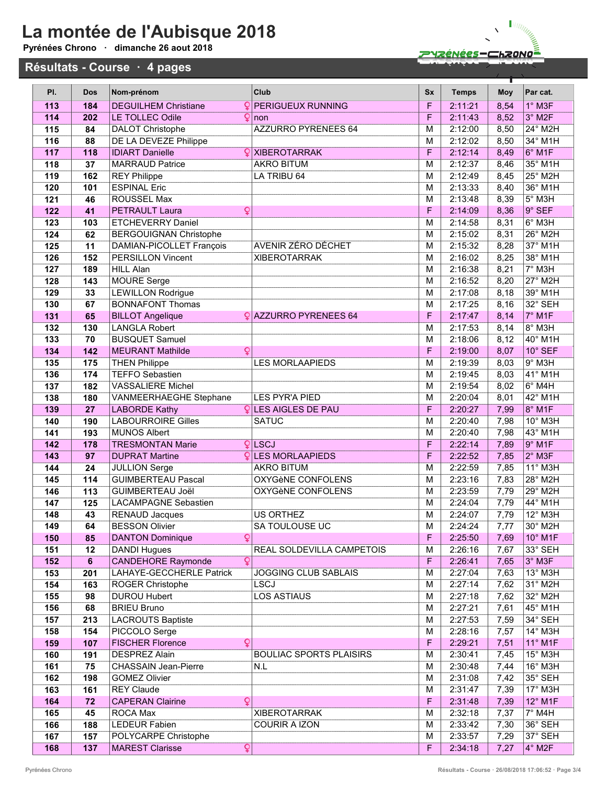### La montée de l'Aubisque 2018 Pyrénées Chrono · dimanche 26 aout 2018

Résultats - Course · 4 pages

# ZYZÉNÉES – CHZONO

Π

| PI.        | <b>Dos</b> | Nom-prénom                                       |              | Club                           | <b>Sx</b>        | <b>Temps</b>       | Moy          | Par cat.                   |
|------------|------------|--------------------------------------------------|--------------|--------------------------------|------------------|--------------------|--------------|----------------------------|
| 113        | 184        | <b>DEGUILHEM Christiane</b>                      | Q            | <b>PERIGUEUX RUNNING</b>       | F                | 2:11:21            | 8,54         | $1°$ M3F                   |
| 114        | 202        | LE TOLLEC Odile                                  | Q            | non                            | F                | 2:11:43            | 8,52         | 3° M2F                     |
| 115        | 84         | <b>DALOT Christophe</b>                          |              | <b>AZZURRO PYRENEES 64</b>     | M                | 2:12:00            | 8,50         | 24° M2H                    |
| 116        | 88         | <b>DE LA DEVEZE Philippe</b>                     |              |                                | M                | 2:12:02            | 8,50         | $34^\circ$ M1H             |
| 117        | 118        | <b>IDIART Danielle</b>                           | $\mathbf{Q}$ | <b>XIBEROTARRAK</b>            | F                | 2:12:14            | 8,49         | 6° M1F                     |
| 118        | 37         | <b>MARRAUD Patrice</b>                           |              | <b>AKRO BITUM</b>              | M                | 2:12:37            | 8,46         | 35° M1H                    |
| 119        | 162        | <b>REY Philippe</b>                              |              | LA TRIBU 64                    | M                | 2:12:49            | 8,45         | $25^\circ$ M2H             |
| 120        | 101        | <b>ESPINAL Eric</b>                              |              |                                | M                | 2:13:33            | 8,40         | $36°$ M <sub>1</sub> H     |
| 121        | 46         | <b>ROUSSEL Max</b>                               |              |                                | M                | 2:13:48            | 8,39         | $5^\circ$ M3H              |
| 122        | 41         | <b>PETRAULT Laura</b>                            | ¥            |                                | F                | 2:14:09            | 8,36         | $9°$ SEF                   |
| 123        | 103        | <b>ETCHEVERRY Daniel</b>                         |              |                                | M                | 2:14:58            | 8,31         | 6° M3H                     |
| 124        | 62         | <b>BERGOUIGNAN Christophe</b>                    |              |                                | M                | 2:15:02            | 8,31         | 26° M2H                    |
| 125        | 11         | DAMIAN-PICOLLET François                         |              | AVENIR ZÉRO DÉCHET             | M                | 2:15:32            | 8,28         | 37° M1H                    |
| 126        | 152        | <b>PERSILLON Vincent</b>                         |              | <b>XIBEROTARRAK</b>            | M                | 2:16:02            | 8,25         | 38° M1H                    |
| 127        | 189        | <b>HILL Alan</b>                                 |              |                                | M                | 2:16:38            | 8,21         | 7° M3H                     |
| 128        | 143        | <b>MOURE</b> Serge                               |              |                                | M                | 2:16:52            | 8,20         | 27° M2H                    |
| 129        | 33         | <b>LEWILLON Rodrigue</b>                         |              |                                | M                | 2:17:08            | 8,18         | 39° M1H                    |
| 130        | 67         | <b>BONNAFONT Thomas</b>                          |              |                                | M                | 2:17:25            | 8,16         | 32° SEH                    |
| 131        | 65         | <b>BILLOT Angelique</b>                          |              | <b>QAZZURRO PYRENEES 64</b>    | F                | 2:17:47            | 8,14         | 7° M1F                     |
| 132<br>133 | 130<br>70  | <b>LANGLA Robert</b><br><b>BUSQUET Samuel</b>    |              |                                | M<br>M           | 2:17:53<br>2:18:06 | 8,14<br>8,12 | 8° M3H<br>$40^\circ$ M1H   |
| 134        | 142        | <b>MEURANT Mathilde</b>                          | Q            |                                | F                | 2:19:00            | 8,07         | 10° SEF                    |
| 135        | 175        | <b>THEN Philippe</b>                             |              | <b>LES MORLAAPIEDS</b>         | M                | 2:19:39            | 8,03         | $9°$ M3H                   |
| 136        | 174        | <b>TEFFO Sebastien</b>                           |              |                                | M                | 2:19:45            | 8,03         | $41°$ M1H                  |
| 137        | 182        | <b>VASSALIERE Michel</b>                         |              |                                | M                | 2:19:54            | 8,02         | $6°$ M4H                   |
| 138        | 180        | <b>VANMEERHAEGHE Stephane</b>                    |              | <b>LES PYR'A PIED</b>          | M                | 2:20:04            | 8,01         | $42^{\circ}$ M1H           |
| 139        | 27         | <b>LABORDE Kathy</b>                             |              | <b>QLES AIGLES DE PAU</b>      | F                | 2:20:27            | 7,99         | 8° M1F                     |
| 140        | 190        | <b>LABOURROIRE Gilles</b>                        |              | <b>SATUC</b>                   | M                | 2:20:40            | 7,98         | $10^{\circ}$ M3H           |
| 141        | 193        | <b>MUNOS Albert</b>                              |              |                                | M                | 2:20:40            | 7,98         | $43°$ M1H                  |
| 142        | 178        | <b>TRESMONTAN Marie</b>                          |              | $Q$ LSCJ                       | F                | 2:22:14            | 7,89         | $9°$ M <sub>1</sub> F      |
| 143        | 97         | <b>DUPRAT Martine</b>                            |              | <b>QLES MORLAAPIEDS</b>        | F                | 2:22:52            | 7,85         | $2°$ M3F                   |
| 144        | 24         | <b>JULLION Serge</b>                             |              | <b>AKRO BITUM</b>              | M                | 2:22:59            | 7,85         | $11°$ M3H                  |
| 145        | 114        | <b>GUIMBERTEAU Pascal</b>                        |              | <b>OXYGèNE CONFOLENS</b>       | M                | 2:23:16            | 7,83         | 28° M2H                    |
| 146        | 113        | <b>GUIMBERTEAU Joël</b>                          |              | OXYGèNE CONFOLENS              | M                | 2:23:59            | 7,79         | 29° M2H                    |
| 147        | 125        | <b>LACAMPAGNE Sebastien</b>                      |              |                                | M                | 2:24:04            | 7,79         | $\frac{1}{44^{\circ}}$ M1H |
| 148        | 43         | <b>RENAUD Jacques</b>                            |              | US ORTHEZ                      | M                | 2:24:07            | 7,79         | 12° M3H                    |
| 149        | 64         | <b>BESSON Olivier</b>                            |              | SA TOULOUSE UC                 | M                | 2:24:24            | 7,77         | 30° M2H                    |
| 150        | 85         | <b>DANTON Dominique</b>                          | Q            |                                | $\mathsf F$      | 2:25:50<br>2:26:16 | 7,69         | 10° M1F<br>33° SEH         |
| 151<br>152 | 12         | <b>DANDI Hugues</b><br><b>CANDEHORE Raymonde</b> | $\mathsf Q$  | REAL SOLDEVILLA CAMPETOIS      | M<br>$\mathsf F$ | 2:26:41            | 7,67<br>7,65 | $3^\circ$ M3F              |
| 153        | 6<br>201   | LAHAYE-GECCHERLE Patrick                         |              | <b>JOGGING CLUB SABLAIS</b>    | M                | 2:27:04            | 7,63         | 13° M3H                    |
| 154        | 163        | ROGER Christophe                                 |              | <b>LSCJ</b>                    | M                | 2:27:14            | 7,62         | 31° M2H                    |
| 155        | 98         | <b>DUROU Hubert</b>                              |              | <b>LOS ASTIAUS</b>             | M                | 2:27:18            | 7,62         | 32° M2H                    |
| 156        | 68         | <b>BRIEU Bruno</b>                               |              |                                | M                | 2:27:21            | 7,61         | 45° M1H                    |
| 157        | 213        | <b>LACROUTS Baptiste</b>                         |              |                                | M                | 2:27:53            | 7,59         | 34° SEH                    |
| 158        | 154        | PICCOLO Serge                                    |              |                                | M                | 2:28:16            | 7,57         | 14° M3H                    |
| 159        | 107        | <b>FISCHER Florence</b>                          | Q            |                                | F                | 2:29:21            | 7,51         | 11° M1F                    |
| 160        | 191        | <b>DESPREZ Alain</b>                             |              | <b>BOULIAC SPORTS PLAISIRS</b> | M                | 2:30:41            | 7,45         | 15° M3H                    |
| 161        | 75         | <b>CHASSAIN Jean-Pierre</b>                      |              | N.L                            | M                | 2:30:48            | 7,44         | 16° M3H                    |
| 162        | 198        | <b>GOMEZ Olivier</b>                             |              |                                | M                | 2:31:08            | 7,42         | 35° SEH                    |
| 163        | 161        | <b>REY Claude</b>                                |              |                                | M                | 2:31:47            | 7,39         | 17° M3H                    |
| 164        | 72         | <b>CAPERAN Clairine</b>                          | Q            |                                | $\mathsf F$      | 2:31:48            | 7,39         | 12° M1F                    |
| 165        | 45         | ROCA Max                                         |              | <b>XIBEROTARRAK</b>            | M                | 2:32:18            | 7,37         | $7^\circ$ M4H              |
| 166        | 188        | <b>LEDEUR Fabien</b>                             |              | <b>COURIR A IZON</b>           | M                | 2:33:42            | 7,30         | 36° SEH                    |
| 167        | 157        | POLYCARPE Christophe                             |              |                                | M                | 2:33:57            | 7,29         | 37° SEH                    |
| 168        | 137        | <b>MAREST Clarisse</b>                           | Q            |                                | $\overline{F}$   | 2:34:18            | 7,27         | $4^\circ$ M2F              |